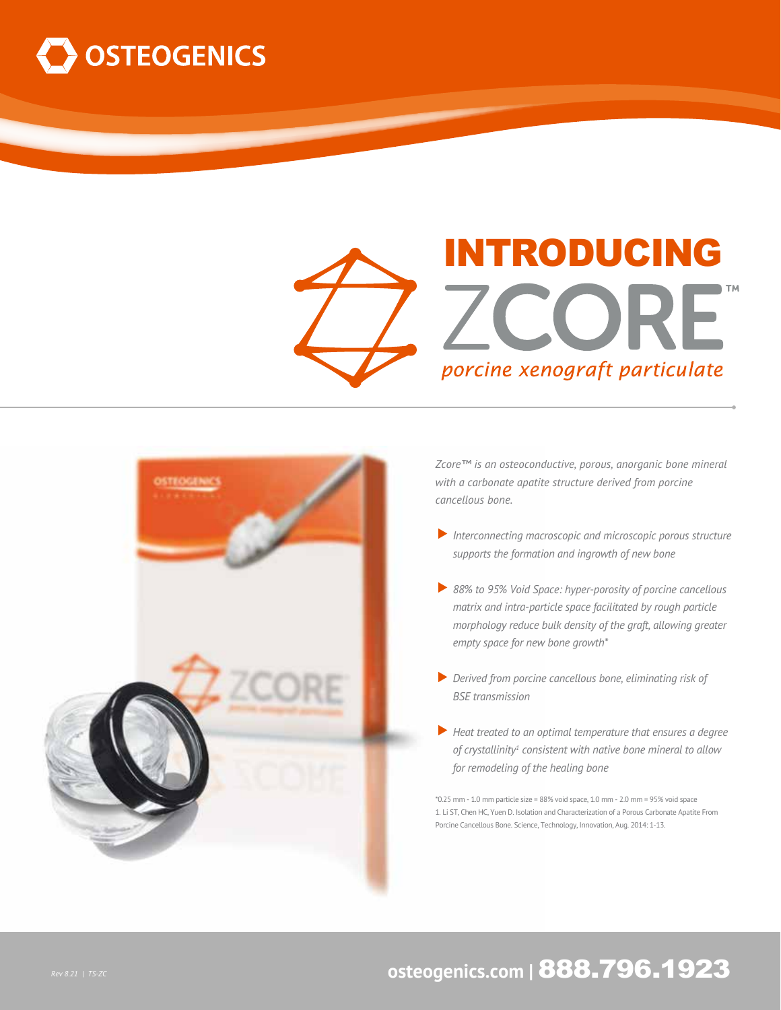





*Zcore™ is an osteoconductive, porous, anorganic bone mineral with a carbonate apatite structure derived from porcine cancellous bone.* 

- ▼*Interconnecting macroscopic and microscopic porous structure supports the formation and ingrowth of new bone*
- ▼*88% to 95% Void Space: hyper-porosity of porcine cancellous matrix and intra-particle space facilitated by rough particle morphology reduce bulk density of the graft, allowing greater empty space for new bone growth\**
- ▶ Derived from porcine cancellous bone, eliminating risk of  *BSE transmission*
- ▼*Heat treated to an optimal temperature that ensures a degree of crystallinity1 consistent with native bone mineral to allow for remodeling of the healing bone*

\*0.25 mm - 1.0 mm particle size = 88% void space, 1.0 mm - 2.0 mm = 95% void space 1. Li ST, Chen HC, Yuen D. Isolation and Characterization of a Porous Carbonate Apatite From Porcine Cancellous Bone. Science, Technology, Innovation, Aug. 2014: 1-13.

## **Rev 8.21 | TS-ZC osteogenics.com | 888.796.1923**